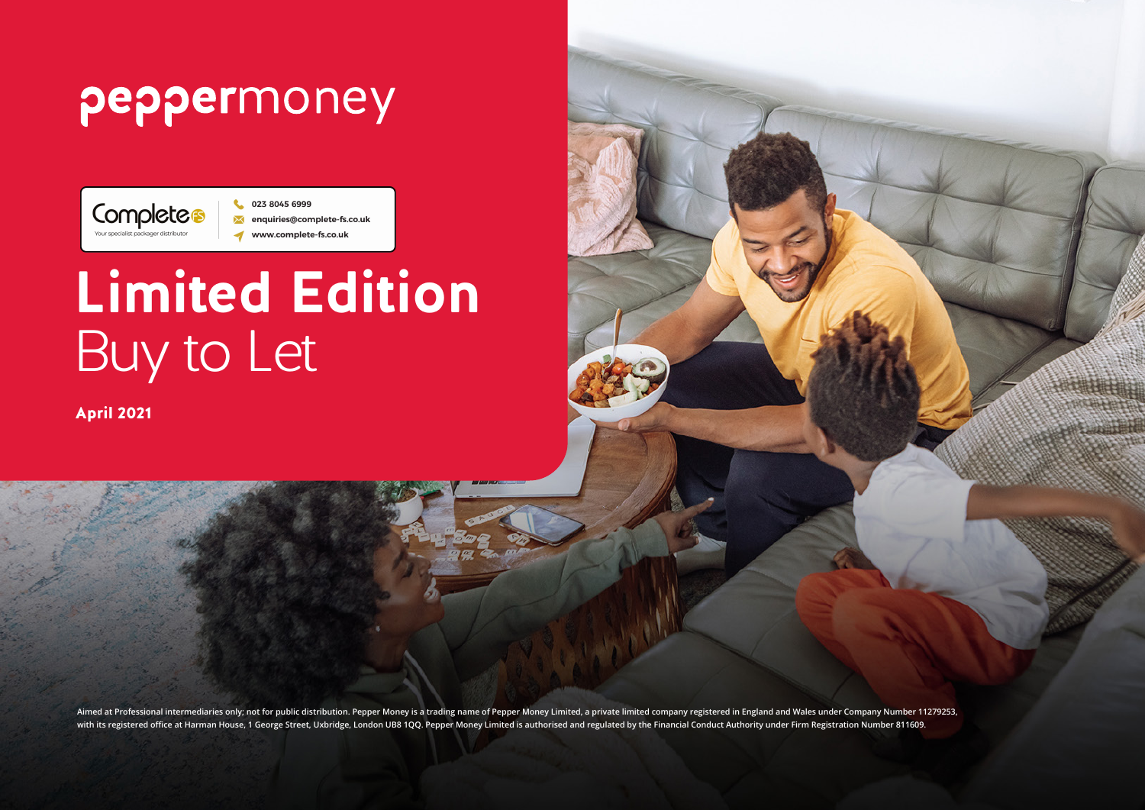## peppermoney



# **Limited Edition**  Buy to Let

April 2021

**Aimed at Professional intermediaries only; not for public distribution. Pepper Money is a trading name of Pepper Money Limited, a private limited company registered in England and Wales under Company Number 11279253, with its registered office at Harman House, 1 George Street, Uxbridge, London UB8 1QQ. Pepper Money Limited is authorised and regulated by the Financial Conduct Authority under Firm Registration Number 811609.**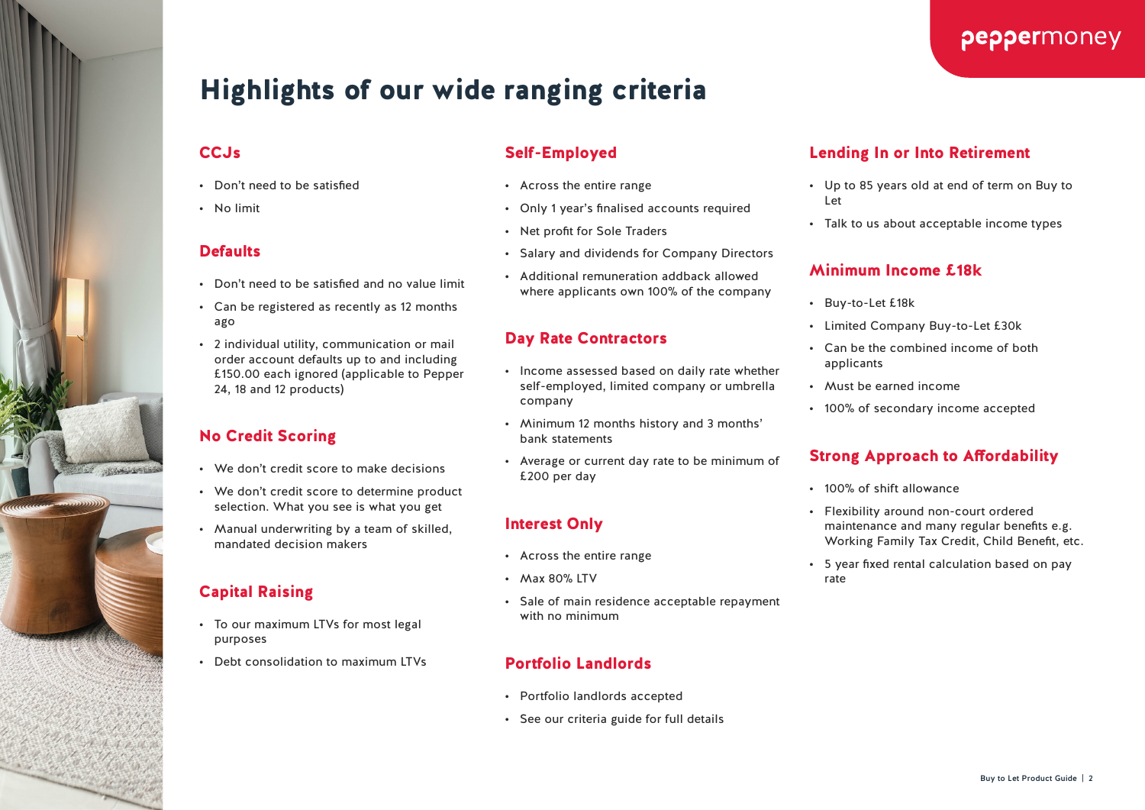

peppermoney

### Highlights of our wide ranging criteria

#### **CCJs**

- Don't need to be satisfied
- No limit

#### **Defaults**

- Don't need to be satisfied and no value limit
- Can be registered as recently as 12 months ago
- 2 individual utility, communication or mail order account defaults up to and including £150.00 each ignored (applicable to Pepper 24, 18 and 12 products)

#### No Credit Scoring

**THE CARD SPACE** 

- We don't credit score to make decisions
- We don't credit score to determine product selection. What you see is what you get
- Manual underwriting by a team of skilled, mandated decision makers

#### Capital Raising

- To our maximum LTVs for most legal purposes
- Debt consolidation to maximum LTVs

#### Self-Employed

- Across the entire range
- Only 1 year's finalised accounts required
- Net profit for Sole Traders
- Salary and dividends for Company Directors
- Additional remuneration addback allowed where applicants own 100% of the company

#### Day Rate Contractors

- Income assessed based on daily rate whether self-employed, limited company or umbrella company
- Minimum 12 months history and 3 months' bank statements
- Average or current day rate to be minimum of £200 per day

#### Interest Only

- Across the entire range
- Max 80% LTV
- Sale of main residence acceptable repayment with no minimum

#### Portfolio Landlords

- Portfolio landlords accepted
- See our criteria guide for full details

#### Lending In or Into Retirement

- Up to 85 years old at end of term on Buy to Let
- Talk to us about acceptable income types

#### Minimum Income £18k

- Buy-to-Let £18k
- Limited Company Buy-to-Let £30k
- Can be the combined income of both applicants
- Must be earned income
- 100% of secondary income accepted

#### Strong Approach to Affordability

- 100% of shift allowance
- Flexibility around non-court ordered maintenance and many regular benefits e.g. Working Family Tax Credit, Child Benefit, etc.
- 5 year fixed rental calculation based on pay rate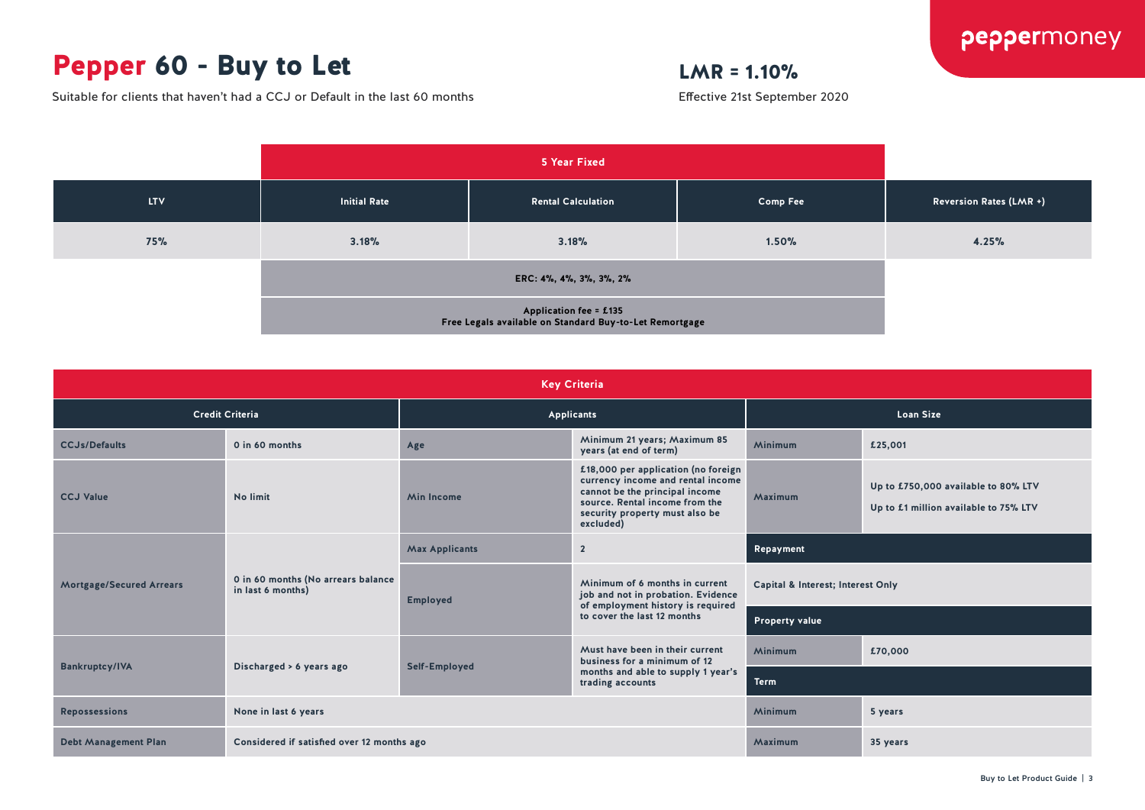## Pepper 60 - Buy to Let

Suitable for clients that haven't had a CCJ or Default in the last 60 months

#### $LMR = 1.10%$

Effective 21st September 2020



| <b>Key Criteria</b>             |                                                         |                       |                                                                                                                                                                                             |                                   |                                                                              |  |  |  |
|---------------------------------|---------------------------------------------------------|-----------------------|---------------------------------------------------------------------------------------------------------------------------------------------------------------------------------------------|-----------------------------------|------------------------------------------------------------------------------|--|--|--|
| <b>Credit Criteria</b>          |                                                         | Applicants            |                                                                                                                                                                                             | <b>Loan Size</b>                  |                                                                              |  |  |  |
| <b>CCJs/Defaults</b>            | 0 in 60 months                                          | Age                   | Minimum 21 years; Maximum 85<br>years (at end of term)                                                                                                                                      | <b>Minimum</b>                    | £25,001                                                                      |  |  |  |
| <b>CCJ Value</b>                | No limit                                                | <b>Min Income</b>     | £18,000 per application (no foreign<br>currency income and rental income<br>cannot be the principal income<br>source. Rental income from the<br>security property must also be<br>excluded) | Maximum                           | Up to £750,000 available to 80% LTV<br>Up to £1 million available to 75% LTV |  |  |  |
| <b>Mortgage/Secured Arrears</b> | 0 in 60 months (No arrears balance<br>in last 6 months) | <b>Max Applicants</b> | $\overline{2}$                                                                                                                                                                              | Repayment                         |                                                                              |  |  |  |
|                                 |                                                         | <b>Employed</b>       | Minimum of 6 months in current<br>job and not in probation. Evidence<br>of employment history is required<br>to cover the last 12 months                                                    | Capital & Interest; Interest Only |                                                                              |  |  |  |
|                                 |                                                         |                       |                                                                                                                                                                                             | <b>Property value</b>             |                                                                              |  |  |  |
| <b>Bankruptcy/IVA</b>           | Discharged > 6 years ago                                | Self-Employed         | Must have been in their current<br>business for a minimum of 12<br>months and able to supply 1 year's<br>trading accounts                                                                   | <b>Minimum</b>                    | £70,000                                                                      |  |  |  |
|                                 |                                                         |                       |                                                                                                                                                                                             | <b>Term</b>                       |                                                                              |  |  |  |
| <b>Repossessions</b>            | None in last 6 years                                    |                       |                                                                                                                                                                                             | <b>Minimum</b>                    | 5 years                                                                      |  |  |  |
| <b>Debt Management Plan</b>     | Considered if satisfied over 12 months ago              |                       |                                                                                                                                                                                             | Maximum                           | 35 years                                                                     |  |  |  |